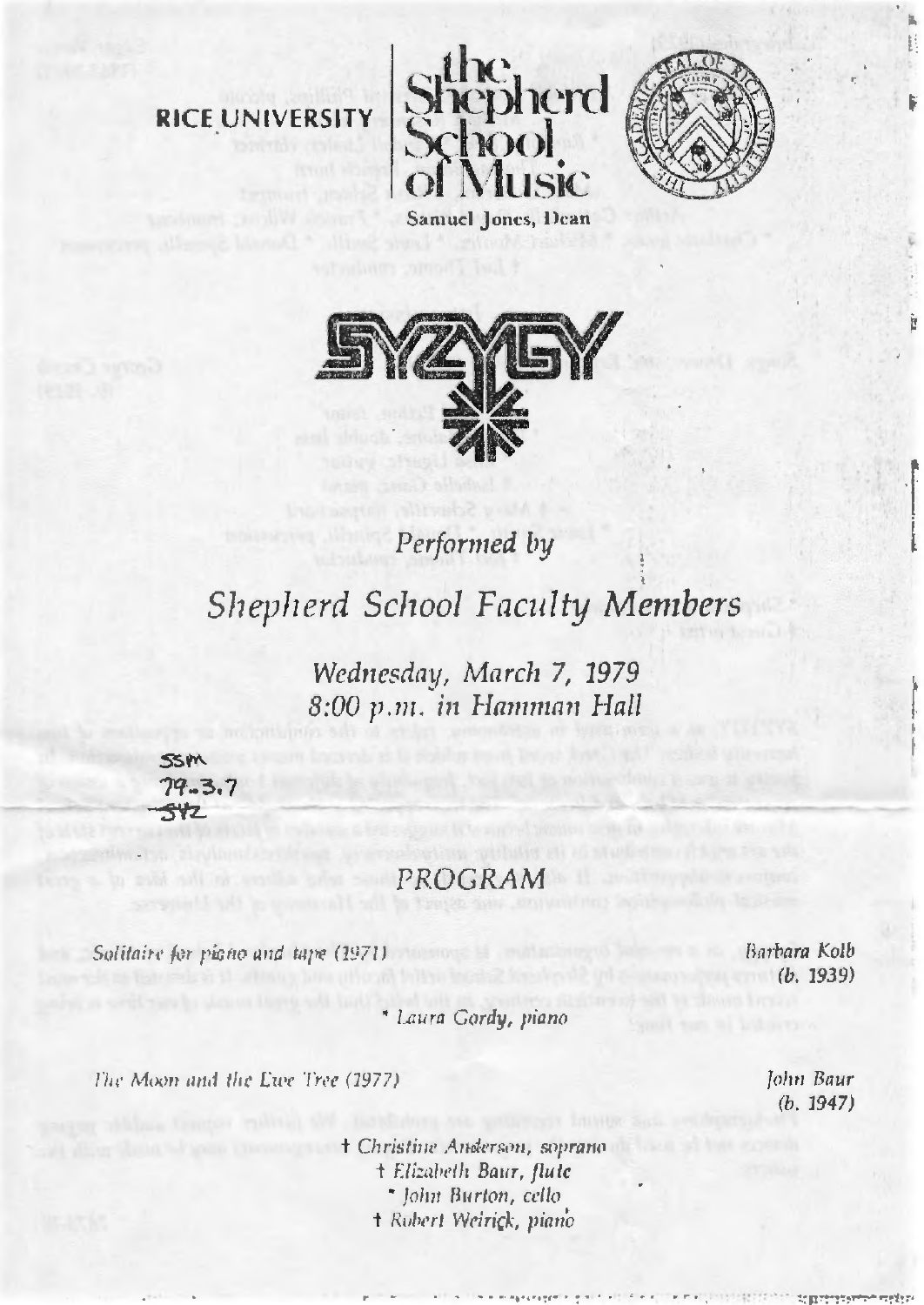## RICE UNIVERSITY





Performed by

## Shepherd School Faculty Members

Wednesday, March 7, 1979 8:00 p.m. in Hamman Hall



## **PROGRAM**

Solitaire for picno and tape (1971)

Barbara Kolb  $(b. 1939)$ 

\* Laura Gordy, piano

The Moon and the Ewe Tree (1977).

† Christine Anderson, soprano + Elizabeth Baur, flutc \* John Burton, cello † Robert Weirick, piano

John Baur  $(b. 1947)$